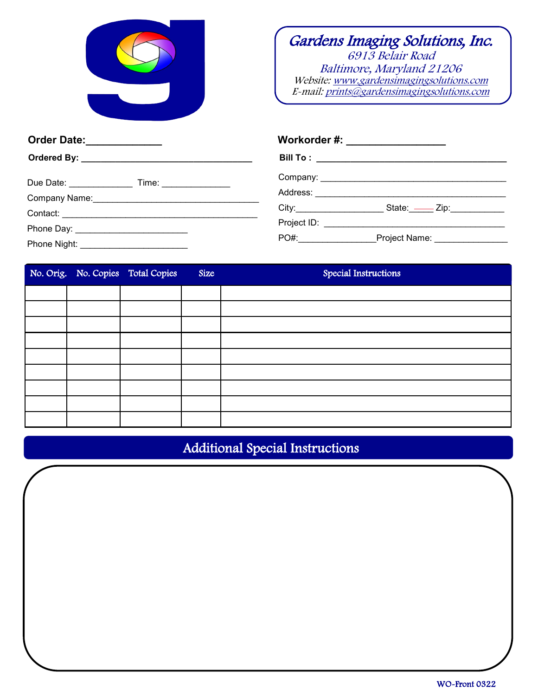

## Gardens Imaging Solutions, Inc. 6913 Belair Road Baltimore, Maryland 21206 Website: www.gardensimagingsolutions.com E-mail: prints@gardensimagingsolutions.com

| Order Date:_____________                                 | Workorder #: __________________                                                                                                                                                                                               |  |  |
|----------------------------------------------------------|-------------------------------------------------------------------------------------------------------------------------------------------------------------------------------------------------------------------------------|--|--|
|                                                          |                                                                                                                                                                                                                               |  |  |
| Due Date: ______________________ Time: _________________ |                                                                                                                                                                                                                               |  |  |
|                                                          |                                                                                                                                                                                                                               |  |  |
|                                                          | City: City: City: City: City: City: City: City: City: City: City: City: City: City: City: City: City: City: City: City: City: City: City: City: City: City: City: City: City: City: City: City: City: City: City: City: City: |  |  |
| Phone Day: __________________________                    |                                                                                                                                                                                                                               |  |  |
|                                                          | $PO#$ :<br>Project Name: ________________                                                                                                                                                                                     |  |  |

|  | No. Orig. No. Copies Total Copies | Size | Special Instructions |
|--|-----------------------------------|------|----------------------|
|  |                                   |      |                      |
|  |                                   |      |                      |
|  |                                   |      |                      |
|  |                                   |      |                      |
|  |                                   |      |                      |
|  |                                   |      |                      |
|  |                                   |      |                      |
|  |                                   |      |                      |
|  |                                   |      |                      |

## Additional Special Instructions